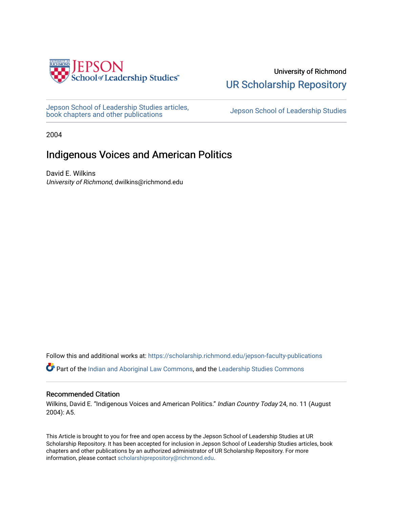

University of Richmond [UR Scholarship Repository](https://scholarship.richmond.edu/) 

[Jepson School of Leadership Studies articles,](https://scholarship.richmond.edu/jepson-faculty-publications) bepson School of Leadership Studies articles,<br>[book chapters and other publications](https://scholarship.richmond.edu/jepson-faculty-publications) book chapters and other publications

2004

## Indigenous Voices and American Politics

David E. Wilkins University of Richmond, dwilkins@richmond.edu

Follow this and additional works at: [https://scholarship.richmond.edu/jepson-faculty-publications](https://scholarship.richmond.edu/jepson-faculty-publications?utm_source=scholarship.richmond.edu%2Fjepson-faculty-publications%2F317&utm_medium=PDF&utm_campaign=PDFCoverPages)

**Part of the [Indian and Aboriginal Law Commons,](http://network.bepress.com/hgg/discipline/894?utm_source=scholarship.richmond.edu%2Fjepson-faculty-publications%2F317&utm_medium=PDF&utm_campaign=PDFCoverPages) and the Leadership Studies Commons** 

#### Recommended Citation

Wilkins, David E. "Indigenous Voices and American Politics." Indian Country Today 24, no. 11 (August 2004): A5.

This Article is brought to you for free and open access by the Jepson School of Leadership Studies at UR Scholarship Repository. It has been accepted for inclusion in Jepson School of Leadership Studies articles, book chapters and other publications by an authorized administrator of UR Scholarship Repository. For more information, please contact [scholarshiprepository@richmond.edu](mailto:scholarshiprepository@richmond.edu).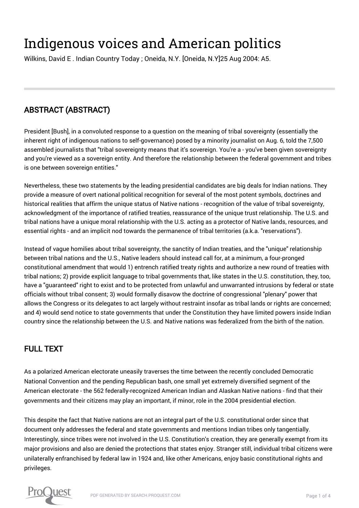# Indigenous voices and American politics

Wilkins, David E . Indian Country Today ; Oneida, N.Y. [Oneida, N.Y]25 Aug 2004: A5.

# ABSTRACT (ABSTRACT)

President [Bush], in a convoluted response to a question on the meaning of tribal sovereignty (essentially the inherent right of indigenous nations to self-governance) posed by a minority journalist on Aug. 6, told the 7,500 assembled journalists that "tribal sovereignty means that it's sovereign. You're a - you've been given sovereignty and you're viewed as a sovereign entity. And therefore the relationship between the federal government and tribes is one between sovereign entities."

Nevertheless, these two statements by the leading presidential candidates are big deals for Indian nations. They provide a measure of overt national political recognition for several of the most potent symbols, doctrines and historical realities that affirm the unique status of Native nations - recognition of the value of tribal sovereignty, acknowledgment of the importance of ratified treaties, reassurance of the unique trust relationship. The U.S. and tribal nations have a unique moral relationship with the U.S. acting as a protector of Native lands, resources, and essential rights - and an implicit nod towards the permanence of tribal territories (a.k.a. "reservations").

Instead of vague homilies about tribal sovereignty, the sanctity of Indian treaties, and the "unique" relationship between tribal nations and the U.S., Native leaders should instead call for, at a minimum, a four-pronged constitutional amendment that would 1) entrench ratified treaty rights and authorize a new round of treaties with tribal nations; 2) provide explicit language to tribal governments that, like states in the U.S. constitution, they, too, have a "guaranteed" right to exist and to be protected from unlawful and unwarranted intrusions by federal or state officials without tribal consent; 3) would formally disavow the doctrine of congressional "plenary" power that allows the Congress or its delegates to act largely without restraint insofar as tribal lands or rights are concerned; and 4) would send notice to state governments that under the Constitution they have limited powers inside Indian country since the relationship between the U.S. and Native nations was federalized from the birth of the nation.

### FULL TEXT

As a polarized American electorate uneasily traverses the time between the recently concluded Democratic National Convention and the pending Republican bash, one small yet extremely diversified segment of the American electorate - the 562 federally-recognized American Indian and Alaskan Native nations - find that their governments and their citizens may play an important, if minor, role in the 2004 presidential election.

This despite the fact that Native nations are not an integral part of the U.S. constitutional order since that document only addresses the federal and state governments and mentions Indian tribes only tangentially. Interestingly, since tribes were not involved in the U.S. Constitution's creation, they are generally exempt from its major provisions and also are denied the protections that states enjoy. Stranger still, individual tribal citizens were unilaterally enfranchised by federal law in 1924 and, like other Americans, enjoy basic constitutional rights and privileges.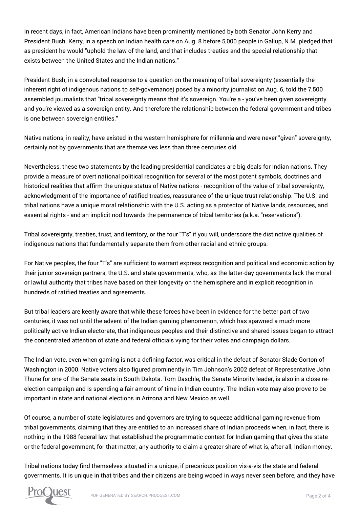In recent days, in fact, American Indians have been prominently mentioned by both Senator John Kerry and President Bush. Kerry, in a speech on Indian health care on Aug. 8 before 5,000 people in Gallup, N.M. pledged that as president he would "uphold the law of the land, and that includes treaties and the special relationship that exists between the United States and the Indian nations."

President Bush, in a convoluted response to a question on the meaning of tribal sovereignty (essentially the inherent right of indigenous nations to self-governance) posed by a minority journalist on Aug. 6, told the 7,500 assembled journalists that "tribal sovereignty means that it's sovereign. You're a - you've been given sovereignty and you're viewed as a sovereign entity. And therefore the relationship between the federal government and tribes is one between sovereign entities."

Native nations, in reality, have existed in the western hemisphere for millennia and were never "given" sovereignty, certainly not by governments that are themselves less than three centuries old.

Nevertheless, these two statements by the leading presidential candidates are big deals for Indian nations. They provide a measure of overt national political recognition for several of the most potent symbols, doctrines and historical realities that affirm the unique status of Native nations - recognition of the value of tribal sovereignty, acknowledgment of the importance of ratified treaties, reassurance of the unique trust relationship. The U.S. and tribal nations have a unique moral relationship with the U.S. acting as a protector of Native lands, resources, and essential rights - and an implicit nod towards the permanence of tribal territories (a.k.a. "reservations").

Tribal sovereignty, treaties, trust, and territory, or the four "T's" if you will, underscore the distinctive qualities of indigenous nations that fundamentally separate them from other racial and ethnic groups.

For Native peoples, the four "T's" are sufficient to warrant express recognition and political and economic action by their junior sovereign partners, the U.S. and state governments, who, as the latter-day governments lack the moral or lawful authority that tribes have based on their longevity on the hemisphere and in explicit recognition in hundreds of ratified treaties and agreements.

But tribal leaders are keenly aware that while these forces have been in evidence for the better part of two centuries, it was not until the advent of the Indian gaming phenomenon, which has spawned a much more politically active Indian electorate, that indigenous peoples and their distinctive and shared issues began to attract the concentrated attention of state and federal officials vying for their votes and campaign dollars.

The Indian vote, even when gaming is not a defining factor, was critical in the defeat of Senator Slade Gorton of Washington in 2000. Native voters also figured prominently in Tim Johnson's 2002 defeat of Representative John Thune for one of the Senate seats in South Dakota. Tom Daschle, the Senate Minority leader, is also in a close reelection campaign and is spending a fair amount of time in Indian country. The Indian vote may also prove to be important in state and national elections in Arizona and New Mexico as well.

Of course, a number of state legislatures and governors are trying to squeeze additional gaming revenue from tribal governments, claiming that they are entitled to an increased share of Indian proceeds when, in fact, there is nothing in the 1988 federal law that established the programmatic context for Indian gaming that gives the state or the federal government, for that matter, any authority to claim a greater share of what is, after all, Indian money.

Tribal nations today find themselves situated in a unique, if precarious position vis-a-vis the state and federal governments. It is unique in that tribes and their citizens are being wooed in ways never seen before, and they have